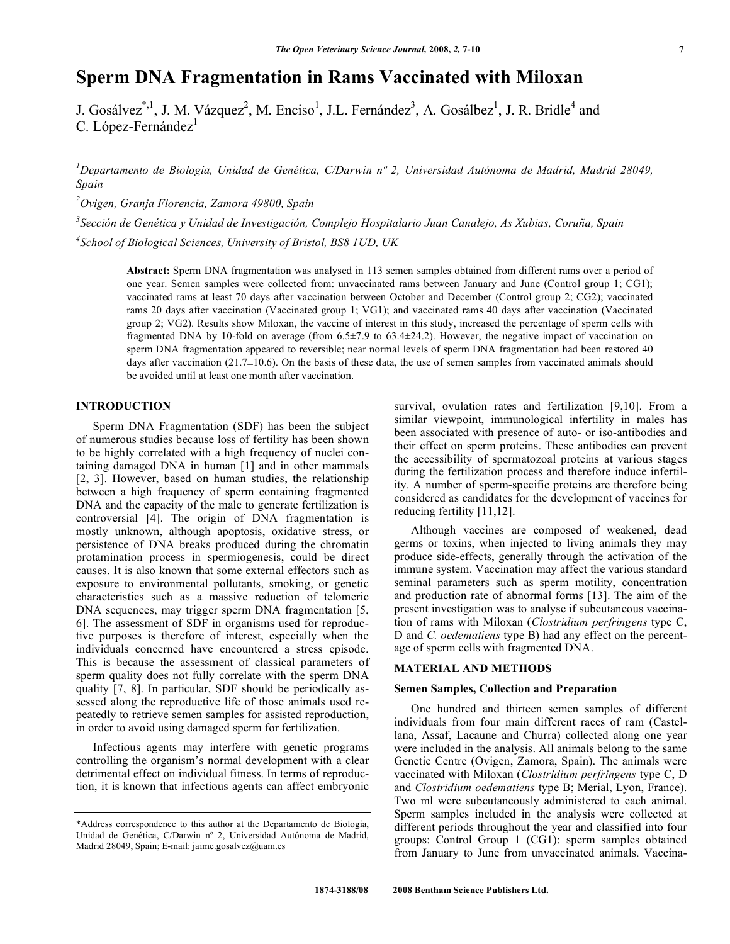# **Sperm DNA Fragmentation in Rams Vaccinated with Miloxan**

J. Gosálvez<sup>\*,1</sup>, J. M. Vázquez<sup>2</sup>, M. Enciso<sup>1</sup>, J.L. Fernández<sup>3</sup>, A. Gosálbez<sup>1</sup>, J. R. Bridle<sup>4</sup> and  $C.$  López-Fernández $^{1}$ 

*1 Departamento de Biología, Unidad de Genética, C/Darwin nº 2, Universidad Autónoma de Madrid, Madrid 28049, Spain* 

*2 Ovigen, Granja Florencia, Zamora 49800, Spain* 

*3 Sección de Genética y Unidad de Investigación, Complejo Hospitalario Juan Canalejo, As Xubias, Coruña, Spain 4 School of Biological Sciences, University of Bristol, BS8 1UD, UK* 

**Abstract:** Sperm DNA fragmentation was analysed in 113 semen samples obtained from different rams over a period of one year. Semen samples were collected from: unvaccinated rams between January and June (Control group 1; CG1); vaccinated rams at least 70 days after vaccination between October and December (Control group 2; CG2); vaccinated rams 20 days after vaccination (Vaccinated group 1; VG1); and vaccinated rams 40 days after vaccination (Vaccinated group 2; VG2). Results show Miloxan, the vaccine of interest in this study, increased the percentage of sperm cells with fragmented DNA by 10-fold on average (from 6.5±7.9 to 63.4±24.2). However, the negative impact of vaccination on sperm DNA fragmentation appeared to reversible; near normal levels of sperm DNA fragmentation had been restored 40 days after vaccination (21.7 $\pm$ 10.6). On the basis of these data, the use of semen samples from vaccinated animals should be avoided until at least one month after vaccination.

## **INTRODUCTION**

 Sperm DNA Fragmentation (SDF) has been the subject of numerous studies because loss of fertility has been shown to be highly correlated with a high frequency of nuclei containing damaged DNA in human [1] and in other mammals [2, 3]. However, based on human studies, the relationship between a high frequency of sperm containing fragmented DNA and the capacity of the male to generate fertilization is controversial [4]. The origin of DNA fragmentation is mostly unknown, although apoptosis, oxidative stress, or persistence of DNA breaks produced during the chromatin protamination process in spermiogenesis, could be direct causes. It is also known that some external effectors such as exposure to environmental pollutants, smoking, or genetic characteristics such as a massive reduction of telomeric DNA sequences, may trigger sperm DNA fragmentation [5, 6]. The assessment of SDF in organisms used for reproductive purposes is therefore of interest, especially when the individuals concerned have encountered a stress episode. This is because the assessment of classical parameters of sperm quality does not fully correlate with the sperm DNA quality [7, 8]. In particular, SDF should be periodically assessed along the reproductive life of those animals used repeatedly to retrieve semen samples for assisted reproduction, in order to avoid using damaged sperm for fertilization.

 Infectious agents may interfere with genetic programs controlling the organism's normal development with a clear detrimental effect on individual fitness. In terms of reproduction, it is known that infectious agents can affect embryonic

survival, ovulation rates and fertilization [9,10]. From a similar viewpoint, immunological infertility in males has been associated with presence of auto- or iso-antibodies and their effect on sperm proteins. These antibodies can prevent the accessibility of spermatozoal proteins at various stages during the fertilization process and therefore induce infertility. A number of sperm-specific proteins are therefore being considered as candidates for the development of vaccines for reducing fertility [11,12].

 Although vaccines are composed of weakened, dead germs or toxins, when injected to living animals they may produce side-effects, generally through the activation of the immune system. Vaccination may affect the various standard seminal parameters such as sperm motility, concentration and production rate of abnormal forms [13]. The aim of the present investigation was to analyse if subcutaneous vaccination of rams with Miloxan (*Clostridium perfringens* type C, D and *C. oedematiens* type B) had any effect on the percentage of sperm cells with fragmented DNA.

## **MATERIAL AND METHODS**

## **Semen Samples, Collection and Preparation**

 One hundred and thirteen semen samples of different individuals from four main different races of ram (Castellana, Assaf, Lacaune and Churra) collected along one year were included in the analysis. All animals belong to the same Genetic Centre (Ovigen, Zamora, Spain). The animals were vaccinated with Miloxan (*Clostridium perfringens* type C, D and *Clostridium oedematiens* type B; Merial, Lyon, France). Two ml were subcutaneously administered to each animal. Sperm samples included in the analysis were collected at different periods throughout the year and classified into four groups: Control Group 1 (CG1): sperm samples obtained from January to June from unvaccinated animals. Vaccina-

<sup>\*</sup>Address correspondence to this author at the Departamento de Biología, Unidad de Genética, C/Darwin nº 2, Universidad Autónoma de Madrid, Madrid 28049, Spain; E-mail: jaime.gosalvez@uam.es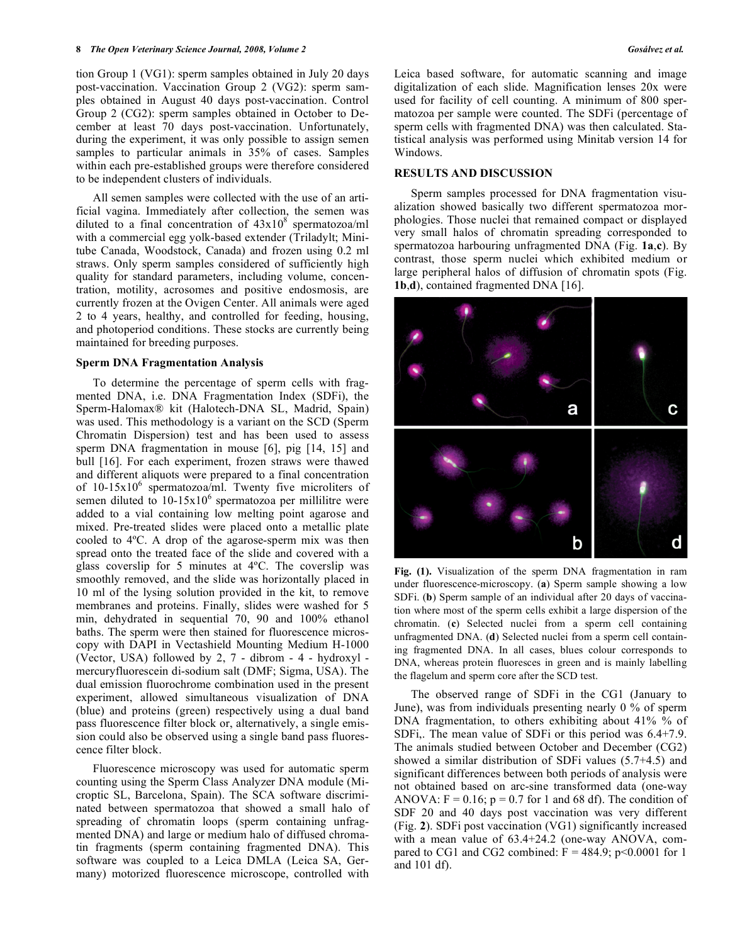tion Group 1 (VG1): sperm samples obtained in July 20 days post-vaccination. Vaccination Group 2 (VG2): sperm samples obtained in August 40 days post-vaccination. Control Group 2 (CG2): sperm samples obtained in October to December at least 70 days post-vaccination. Unfortunately, during the experiment, it was only possible to assign semen samples to particular animals in 35% of cases. Samples within each pre-established groups were therefore considered to be independent clusters of individuals.

 All semen samples were collected with the use of an artificial vagina. Immediately after collection, the semen was diluted to a final concentration of  $43x10^8$  spermatozoa/ml with a commercial egg yolk-based extender (Triladylt; Minitube Canada, Woodstock, Canada) and frozen using 0.2 ml straws. Only sperm samples considered of sufficiently high quality for standard parameters, including volume, concentration, motility, acrosomes and positive endosmosis, are currently frozen at the Ovigen Center. All animals were aged 2 to 4 years, healthy, and controlled for feeding, housing, and photoperiod conditions. These stocks are currently being maintained for breeding purposes.

#### **Sperm DNA Fragmentation Analysis**

 To determine the percentage of sperm cells with fragmented DNA, i.e. DNA Fragmentation Index (SDFi), the Sperm-Halomax® kit (Halotech-DNA SL, Madrid, Spain) was used. This methodology is a variant on the SCD (Sperm Chromatin Dispersion) test and has been used to assess sperm DNA fragmentation in mouse [6], pig [14, 15] and bull [16]. For each experiment, frozen straws were thawed and different aliquots were prepared to a final concentration of  $10-15x10^6$  spermatozoa/ml. Twenty five microliters of semen diluted to  $10-15x10^6$  spermatozoa per millilitre were added to a vial containing low melting point agarose and mixed. Pre-treated slides were placed onto a metallic plate cooled to 4ºC. A drop of the agarose-sperm mix was then spread onto the treated face of the slide and covered with a glass coverslip for 5 minutes at 4ºC. The coverslip was smoothly removed, and the slide was horizontally placed in 10 ml of the lysing solution provided in the kit, to remove membranes and proteins. Finally, slides were washed for 5 min, dehydrated in sequential 70, 90 and 100% ethanol baths. The sperm were then stained for fluorescence microscopy with DAPI in Vectashield Mounting Medium H-1000 (Vector, USA) followed by 2, 7 - dibrom - 4 - hydroxyl mercuryfluorescein di-sodium salt (DMF; Sigma, USA). The dual emission fluorochrome combination used in the present experiment, allowed simultaneous visualization of DNA (blue) and proteins (green) respectively using a dual band pass fluorescence filter block or, alternatively, a single emission could also be observed using a single band pass fluorescence filter block.

 Fluorescence microscopy was used for automatic sperm counting using the Sperm Class Analyzer DNA module (Microptic SL, Barcelona, Spain). The SCA software discriminated between spermatozoa that showed a small halo of spreading of chromatin loops (sperm containing unfragmented DNA) and large or medium halo of diffused chromatin fragments (sperm containing fragmented DNA). This software was coupled to a Leica DMLA (Leica SA, Germany) motorized fluorescence microscope, controlled with Leica based software, for automatic scanning and image digitalization of each slide. Magnification lenses 20x were used for facility of cell counting. A minimum of 800 spermatozoa per sample were counted. The SDFi (percentage of sperm cells with fragmented DNA) was then calculated. Statistical analysis was performed using Minitab version 14 for Windows.

### **RESULTS AND DISCUSSION**

 Sperm samples processed for DNA fragmentation visualization showed basically two different spermatozoa morphologies. Those nuclei that remained compact or displayed very small halos of chromatin spreading corresponded to spermatozoa harbouring unfragmented DNA (Fig. **1a**,**c**). By contrast, those sperm nuclei which exhibited medium or large peripheral halos of diffusion of chromatin spots (Fig. **1b**,**d**), contained fragmented DNA [16].



**Fig. (1).** Visualization of the sperm DNA fragmentation in ram under fluorescence-microscopy. (**a**) Sperm sample showing a low SDFi. (**b**) Sperm sample of an individual after 20 days of vaccination where most of the sperm cells exhibit a large dispersion of the chromatin. (**c**) Selected nuclei from a sperm cell containing unfragmented DNA. (**d**) Selected nuclei from a sperm cell containing fragmented DNA. In all cases, blues colour corresponds to DNA, whereas protein fluoresces in green and is mainly labelling the flagelum and sperm core after the SCD test.

 The observed range of SDFi in the CG1 (January to June), was from individuals presenting nearly 0 % of sperm DNA fragmentation, to others exhibiting about 41% % of SDFi,. The mean value of SDFi or this period was 6.4+7.9. The animals studied between October and December (CG2) showed a similar distribution of SDFi values (5.7+4.5) and significant differences between both periods of analysis were not obtained based on arc-sine transformed data (one-way ANOVA:  $F = 0.16$ ;  $p = 0.7$  for 1 and 68 df). The condition of SDF 20 and 40 days post vaccination was very different (Fig. **2**). SDFi post vaccination (VG1) significantly increased with a mean value of 63.4+24.2 (one-way ANOVA, compared to CG1 and CG2 combined:  $F = 484.9$ ; p<0.0001 for 1 and 101 df).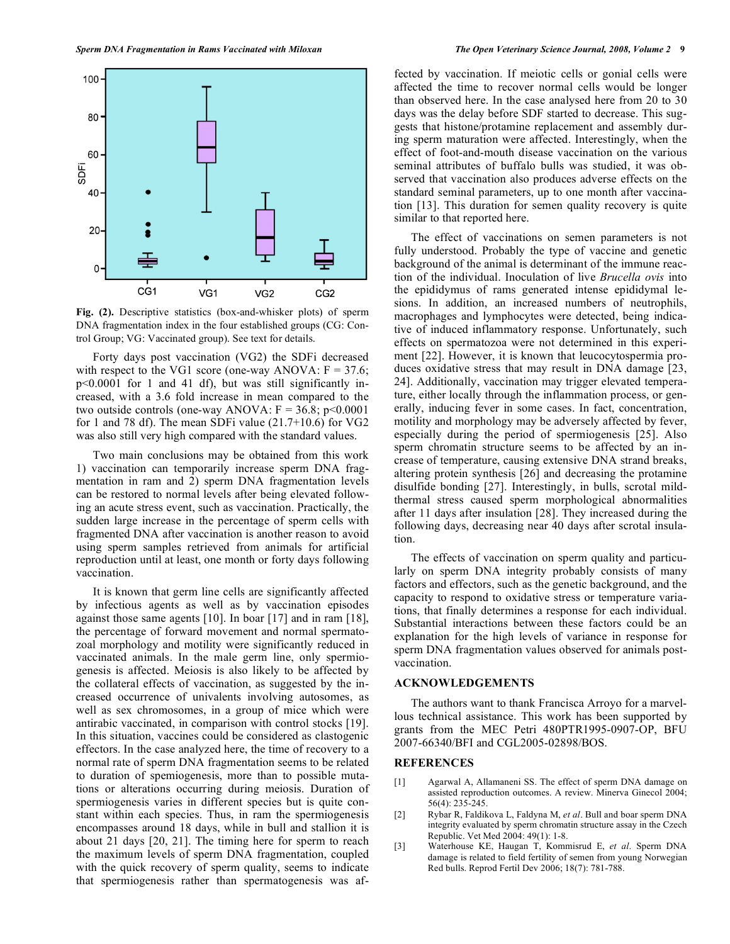

**Fig. (2).** Descriptive statistics (box-and-whisker plots) of sperm DNA fragmentation index in the four established groups (CG: Control Group; VG: Vaccinated group). See text for details.

 Forty days post vaccination (VG2) the SDFi decreased with respect to the VG1 score (one-way ANOVA:  $F = 37.6$ ; p<0.0001 for 1 and 41 df), but was still significantly increased, with a 3.6 fold increase in mean compared to the two outside controls (one-way ANOVA:  $F = 36.8$ ; p<0.0001 for 1 and 78 df). The mean SDFi value (21.7+10.6) for VG2 was also still very high compared with the standard values.

 Two main conclusions may be obtained from this work 1) vaccination can temporarily increase sperm DNA fragmentation in ram and 2) sperm DNA fragmentation levels can be restored to normal levels after being elevated following an acute stress event, such as vaccination. Practically, the sudden large increase in the percentage of sperm cells with fragmented DNA after vaccination is another reason to avoid using sperm samples retrieved from animals for artificial reproduction until at least, one month or forty days following vaccination.

 It is known that germ line cells are significantly affected by infectious agents as well as by vaccination episodes against those same agents [10]. In boar [17] and in ram [18], the percentage of forward movement and normal spermatozoal morphology and motility were significantly reduced in vaccinated animals. In the male germ line, only spermiogenesis is affected. Meiosis is also likely to be affected by the collateral effects of vaccination, as suggested by the increased occurrence of univalents involving autosomes, as well as sex chromosomes, in a group of mice which were antirabic vaccinated, in comparison with control stocks [19]. In this situation, vaccines could be considered as clastogenic effectors. In the case analyzed here, the time of recovery to a normal rate of sperm DNA fragmentation seems to be related to duration of spemiogenesis, more than to possible mutations or alterations occurring during meiosis. Duration of spermiogenesis varies in different species but is quite constant within each species. Thus, in ram the spermiogenesis encompasses around 18 days, while in bull and stallion it is about 21 days [20, 21]. The timing here for sperm to reach the maximum levels of sperm DNA fragmentation, coupled with the quick recovery of sperm quality, seems to indicate that spermiogenesis rather than spermatogenesis was affected by vaccination. If meiotic cells or gonial cells were affected the time to recover normal cells would be longer than observed here. In the case analysed here from 20 to 30 days was the delay before SDF started to decrease. This suggests that histone/protamine replacement and assembly during sperm maturation were affected. Interestingly, when the effect of foot-and-mouth disease vaccination on the various seminal attributes of buffalo bulls was studied, it was observed that vaccination also produces adverse effects on the standard seminal parameters, up to one month after vaccination [13]. This duration for semen quality recovery is quite similar to that reported here.

 The effect of vaccinations on semen parameters is not fully understood. Probably the type of vaccine and genetic background of the animal is determinant of the immune reaction of the individual. Inoculation of live *Brucella ovis* into the epididymus of rams generated intense epididymal lesions. In addition, an increased numbers of neutrophils, macrophages and lymphocytes were detected, being indicative of induced inflammatory response. Unfortunately, such effects on spermatozoa were not determined in this experiment [22]. However, it is known that leucocytospermia produces oxidative stress that may result in DNA damage [23, 24]. Additionally, vaccination may trigger elevated temperature, either locally through the inflammation process, or generally, inducing fever in some cases. In fact, concentration, motility and morphology may be adversely affected by fever, especially during the period of spermiogenesis [25]. Also sperm chromatin structure seems to be affected by an increase of temperature, causing extensive DNA strand breaks, altering protein synthesis [26] and decreasing the protamine disulfide bonding [27]. Interestingly, in bulls, scrotal mildthermal stress caused sperm morphological abnormalities after 11 days after insulation [28]. They increased during the following days, decreasing near 40 days after scrotal insulation.

 The effects of vaccination on sperm quality and particularly on sperm DNA integrity probably consists of many factors and effectors, such as the genetic background, and the capacity to respond to oxidative stress or temperature variations, that finally determines a response for each individual. Substantial interactions between these factors could be an explanation for the high levels of variance in response for sperm DNA fragmentation values observed for animals postvaccination.

### **ACKNOWLEDGEMENTS**

 The authors want to thank Francisca Arroyo for a marvellous technical assistance. This work has been supported by grants from the MEC Petri 480PTR1995-0907-OP, BFU 2007-66340/BFI and CGL2005-02898/BOS.

## **REFERENCES**

- [1] Agarwal A, Allamaneni SS. The effect of sperm DNA damage on assisted reproduction outcomes. A review. Minerva Ginecol 2004; 56(4): 235-245.
- [2] Rybar R, Faldikova L, Faldyna M, *et al*. Bull and boar sperm DNA integrity evaluated by sperm chromatin structure assay in the Czech Republic. Vet Med 2004: 49(1): 1-8.
- [3] Waterhouse KE, Haugan T, Kommisrud E, *et al*. Sperm DNA damage is related to field fertility of semen from young Norwegian Red bulls. Reprod Fertil Dev 2006; 18(7): 781-788.